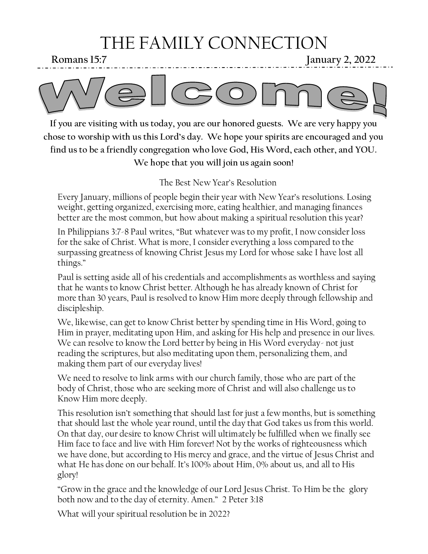# THE FAMILY CONNECTION

**Romans 15:7 January 2, 2022**



**If you are visiting with us today, you are our honored guests. We are very happy you chose to worship with us this Lord's day. We hope your spirits are encouraged and you find us to be a friendly congregation who love God, His Word, each other, and YOU. We hope that you will join us again soon!**

The Best New Year's Resolution

Every January, millions of people begin their year with New Year's resolutions. Losing weight, getting organized, exercising more, eating healthier, and managing finances better are the most common, but how about making a spiritual resolution this year?

In Philippians 3:7-8 Paul writes, "But whatever was to my profit, I now consider loss for the sake of Christ. What is more, I consider everything a loss compared to the surpassing greatness of knowing Christ Jesus my Lord for whose sake I have lost all things."

Paul is setting aside all of his credentials and accomplishments as worthless and saying that he wants to know Christ better. Although he has already known of Christ for more than 30 years, Paul is resolved to know Him more deeply through fellowship and discipleship.

We, likewise, can get to know Christ better by spending time in His Word, going to Him in prayer, meditating upon Him, and asking for His help and presence in our lives. We can resolve to know the Lord better by being in His Word everyday- not just reading the scriptures, but also meditating upon them, personalizing them, and making them part of our everyday lives!

We need to resolve to link arms with our church family, those who are part of the body of Christ, those who are seeking more of Christ and will also challenge us to Know Him more deeply.

This resolution isn't something that should last for just a few months, but is something that should last the whole year round, until the day that God takes us from this world. On that day, our desire to know Christ will ultimately be fulfilled when we finally see Him face to face and live with Him forever! Not by the works of righteousness which we have done, but according to His mercy and grace, and the virtue of Jesus Christ and what He has done on our behalf. It's 100% about Him, 0% about us, and all to His glory!

"Grow in the grace and the knowledge of our Lord Jesus Christ. To Him be the glory both now and to the day of eternity. Amen." 2 Peter 3:18

What will your spiritual resolution be in 2022?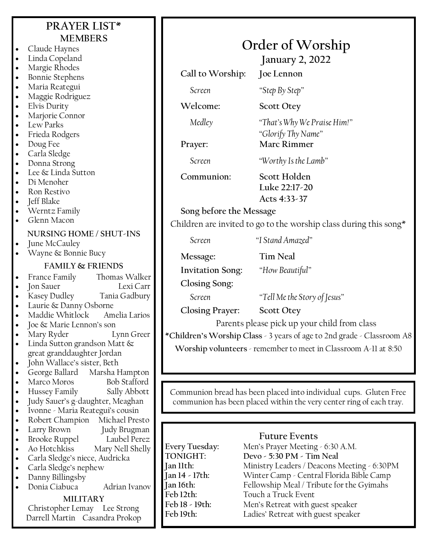### **PRAYER LIST\* MEMBERS**

- Claude Haynes
- Linda Copeland
- Margie Rhodes
- Bonnie Stephens
- Maria Reategui
- Maggie Rodriguez
- Elvis Durity
- Marjorie Connor
- Lew Parks
- Frieda Rodgers
- Doug Fee
- Carla Sledge
- Donna Strong
- Lee & Linda Sutton
- Di Menoher
- Ron Restivo
- Jeff Blake
- Werntz Family
- Glenn Macon

### **NURSING HOME / SHUT-INS**

- June McCauley
- Wayne & Bonnie Bucy

### **FAMILY & FRIENDS**

- France Family Thomas Walker
- Jon Sauer Lexi Carr
- Kasey Dudley Tania Gadbury
- Laurie & Danny Osborne
- Maddie Whitlock Amelia Larios
- Joe & Marie Lennon's son
- Mary Ryder Lynn Greer
- Linda Sutton grandson Matt &
- great granddaughter Jordan John Wallace's sister, Beth
- 
- George Ballard Marsha Hampton Marco Moros Bob Stafford
- 
- Hussey Family Sally Abbott
- Judy Sauer's g-daughter, Meaghan
- Ivonne Maria Reategui's cousin
- Robert Champion Michael Presto
- Larry Brown Judy Brugman • Brooke Ruppel Laubel Perez
- Ao Hotchkiss Mary Nell Shelly
- Carla Sledge's niece, Audricka
- Carla Sledge's nephew
- Danny Billingsby
- Donia Ciabuca Adrian Ivanov

### **MILITARY**

Christopher Lemay Lee Strong Darrell Martin Casandra Prokop

## **Order of Worship**

**January 2, 2022**

**Call to Worship: Joe Lennon**

*Screen "Step By Step"*

**Welcome: Scott Otey**

*Medley "That's Why We Praise Him!"*

**Prayer: Marc Rimmer**

*"Glorify Thy Name"*

*Screen "Worthy Is the Lamb"*

**Communion: Scott Holden**

**Luke 22:17-20 Acts 4:33-37**

**Song before the Message**

Children are invited to go to the worship class during this song\*

*Screen "I Stand Amazed"*

**Message: Tim Neal**

**Invitation Song:** *"How Beautiful"*

**Closing Song:**

*Screen "Tell Me the Story of Jesus"*

**Closing Prayer: Scott Otey**

Parents please pick up your child from class

**\*Children's Worship Class** - 3 years of age to 2nd grade - Classroom A8

**Worship volunteers** - remember to meet in Classroom A-11 at 8:50

Communion bread has been placed into individual cups. Gluten Free communion has been placed within the very center ring of each tray.

### **Future Events**

**Every Tuesday:** Men's Prayer Meeting - 6:30 A.M. **TONIGHT: Devo - 5:30 PM - Tim Neal Jan 11th:** Ministry Leaders / Deacons Meeting - 6:30PM **Jan 14 - 17th:** Winter Camp - Central Florida Bible Camp **Jan 16th:** Fellowship Meal / Tribute for the Gyimahs **Feb 12th:** Touch a Truck Event **Feb 18 - 19th:** Men's Retreat with guest speaker **Feb 19th:** Ladies' Retreat with guest speaker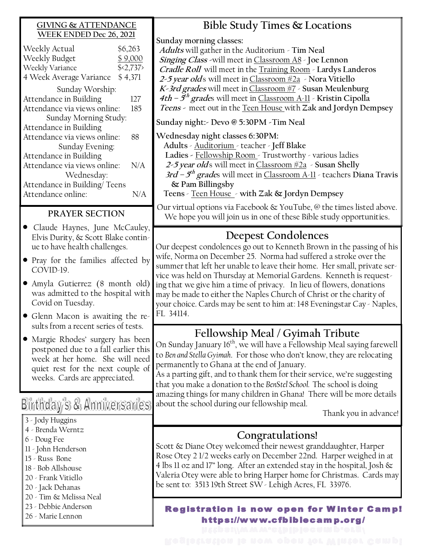#### **GIVING & ATTENDANCE WEEK ENDED Dec 26, 2021**

| Weekly Actual<br>Weekly Budget      | \$6,263<br>\$9,000 |  |  |  |  |
|-------------------------------------|--------------------|--|--|--|--|
| Weekly Variance                     | \$2,737            |  |  |  |  |
| 4 Week Average Variance \$4,371     |                    |  |  |  |  |
| Sunday Worship:                     |                    |  |  |  |  |
| Attendance in Building              | 127                |  |  |  |  |
| Attendance via views online:        | 185                |  |  |  |  |
| Sunday Morning Study:               |                    |  |  |  |  |
| Attendance in Building              |                    |  |  |  |  |
| Attendance via views online:        | 88                 |  |  |  |  |
| Sunday Evening:                     |                    |  |  |  |  |
| Attendance in Building              |                    |  |  |  |  |
| Attendance via views online:        | N/A                |  |  |  |  |
| Wednesday:                          |                    |  |  |  |  |
| Attendance in Building/Teens        |                    |  |  |  |  |
| Attendance online:                  | N/A                |  |  |  |  |
| <b>PRAYER SECTION</b>               |                    |  |  |  |  |
|                                     |                    |  |  |  |  |
| Claude Haynes, June McCauley,       |                    |  |  |  |  |
| Elvis Durity, & Scott Blake contin- |                    |  |  |  |  |
| ue to have health challenges.       |                    |  |  |  |  |

- Pray for the families affected by COVID-19.
- Amyla Gutierrez (8 month old) was admitted to the hospital with Covid on Tuesday.
- Glenn Macon is awaiting the results from a recent series of tests.
- Margie Rhodes' surgery has been postponed due to a fall earlier this week at her home. She will need quiet rest for the next couple of weeks. Cards are appreciated.

## Birthday's & Anniversaries

- 3 Jody Huggins
- 4 Brenda Werntz
- 6 Doug Fee
- 11 John Henderson
- 15 Russ Bone
- 18 Bob Allshouse
- 20 Frank Vitiello
- 20 Jack Dehanas
- 20 Tim & Melissa Neal
- 23 Debbie Anderson 26 - Marie Lennon

**Bible Study Times & Locations**

**Sunday morning classes:**

**Adults** will gather in the Auditorium - **Tim Neal Singing Class -**will meet in Classroom A8 - **Joe Lennon Cradle Roll** will meet in the Training Room - **Lardys Landeros 2-5 year old**s will meet in Classroom #2a - **Nora Vitiello K-3rd grades** will meet in Classroom #7 - **Susan Meulenburg 4th – 5 th grade**s will meet in Classroom A-11 - **Kristin Cipolla Teens -** meet out in the Teen House with **Zak and Jordyn Dempsey**

**Sunday night:- Devo @ 5:30PM -Tim Neal**

**Wednesday night classes 6:30PM:**

**Adults** - Auditorium - teacher - **Jeff Blake** 

**Ladies -** Fellowship Room - Trustworthy - various ladies

**2-5 year old**s will meet in Classroom #2a - **Susan Shelly**

**3rd – 5 th grade**s will meet in Classroom A-11 - teachers **Diana Travis & Pam Billingsby** 

**Teens** - Teen House - **with Zak & Jordyn Dempsey**

Our virtual options via Facebook & YouTube, @ the times listed above. We hope you will join us in one of these Bible study opportunities.

### **Deepest Condolences**

Our deepest condolences go out to Kenneth Brown in the passing of his wife, Norma on December 25. Norma had suffered a stroke over the summer that left her unable to leave their home. Her small, private service was held on Thursday at Memorial Gardens. Kenneth is requesting that we give him a time of privacy. In lieu of flowers, donations may be made to either the Naples Church of Christ or the charity of your choice. Cards may be sent to him at: 148 Eveningstar Cay - Naples, FL 34114.

## **Fellowship Meal / Gyimah Tribute**

On Sunday January 16<sup>th</sup>, we will have a Fellowship Meal saying farewell to *Ben and Stella Gyimah*. For those who don't know, they are relocating permanently to Ghana at the end of January.

As a parting gift, and to thank them for their service, we're suggesting that you make a donation to the *BenStel School.* The school is doing amazing things for many children in Ghana! There will be more details about the school during our fellowship meal.

Thank you in advance!

## **Congratulations!**

Scott & Diane Otey welcomed their newest granddaughter, Harper Rose Otey 2 1/2 weeks early on December 22nd. Harper weighed in at 4 lbs 11 oz and 17" long. After an extended stay in the hospital, Josh  $\&$ Valeria Otey were able to bring Harper home for Christmas. Cards may be sent to: 3513 19th Street SW - Lehigh Acres, FL 33976.

### **Registration is now open for Winter Camp!** https://www.cfbiblecamp.org/